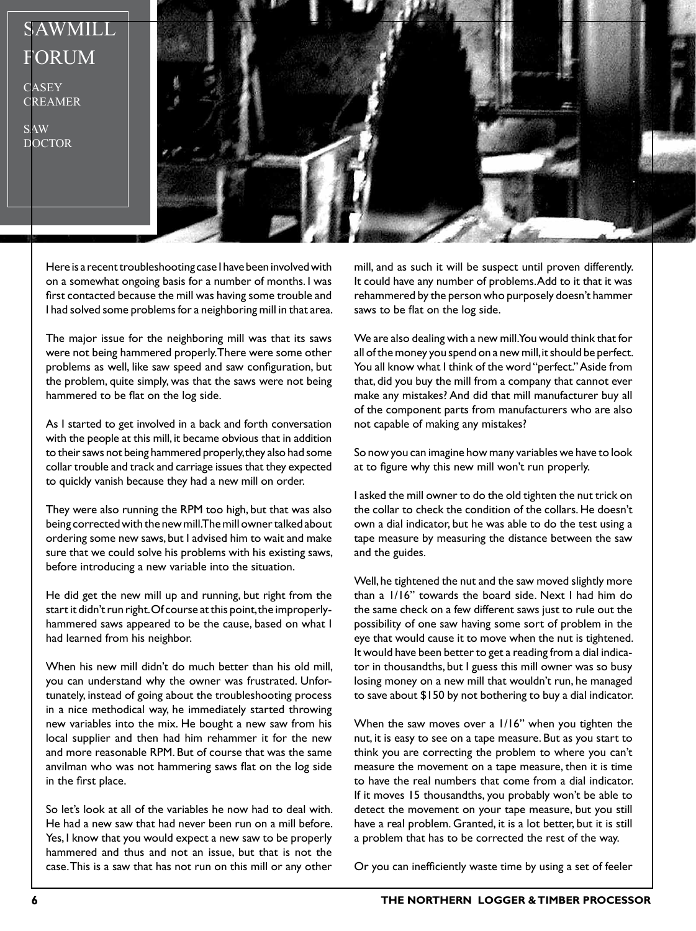

Here is a recent troubleshooting case I have been involved with on a somewhat ongoing basis for a number of months. I was first contacted because the mill was having some trouble and I had solved some problems for a neighboring mill in that area.

The major issue for the neighboring mill was that its saws were not being hammered properly. There were some other problems as well, like saw speed and saw configuration, but the problem, quite simply, was that the saws were not being hammered to be flat on the log side.

As I started to get involved in a back and forth conversation with the people at this mill, it became obvious that in addition to their saws not being hammered properly, they also had some collar trouble and track and carriage issues that they expected to quickly vanish because they had a new mill on order.

They were also running the RPM too high, but that was also being corrected with the new mill. The mill owner talked about ordering some new saws, but I advised him to wait and make sure that we could solve his problems with his existing saws, before introducing a new variable into the situation.

He did get the new mill up and running, but right from the start it didn't run right. Of course at this point, the improperlyhammered saws appeared to be the cause, based on what I had learned from his neighbor.

When his new mill didn't do much better than his old mill, you can understand why the owner was frustrated. Unfortunately, instead of going about the troubleshooting process in a nice methodical way, he immediately started throwing new variables into the mix. He bought a new saw from his local supplier and then had him rehammer it for the new and more reasonable RPM. But of course that was the same anvilman who was not hammering saws flat on the log side in the first place.

So let's look at all of the variables he now had to deal with. He had a new saw that had never been run on a mill before. Yes, I know that you would expect a new saw to be properly hammered and thus and not an issue, but that is not the case. This is a saw that has not run on this mill or any other

mill, and as such it will be suspect until proven differently. It could have any number of problems. Add to it that it was rehammered by the person who purposely doesn't hammer saws to be flat on the log side.

We are also dealing with a new mill. You would think that for all of the money you spend on a new mill, it should be perfect. You all know what I think of the word "perfect." Aside from that, did you buy the mill from a company that cannot ever make any mistakes? And did that mill manufacturer buy all of the component parts from manufacturers who are also not capable of making any mistakes?

So now you can imagine how many variables we have to look at to figure why this new mill won't run properly.

I asked the mill owner to do the old tighten the nut trick on the collar to check the condition of the collars. He doesn't own a dial indicator, but he was able to do the test using a tape measure by measuring the distance between the saw and the guides.

Well, he tightened the nut and the saw moved slightly more than a 1/16" towards the board side. Next I had him do the same check on a few different saws just to rule out the possibility of one saw having some sort of problem in the eye that would cause it to move when the nut is tightened. It would have been better to get a reading from a dial indicator in thousandths, but I guess this mill owner was so busy losing money on a new mill that wouldn't run, he managed to save about \$150 by not bothering to buy a dial indicator.

When the saw moves over a 1/16" when you tighten the nut, it is easy to see on a tape measure. But as you start to think you are correcting the problem to where you can't measure the movement on a tape measure, then it is time to have the real numbers that come from a dial indicator. If it moves 15 thousandths, you probably won't be able to detect the movement on your tape measure, but you still have a real problem. Granted, it is a lot better, but it is still a problem that has to be corrected the rest of the way.

Or you can inefficiently waste time by using a set of feeler